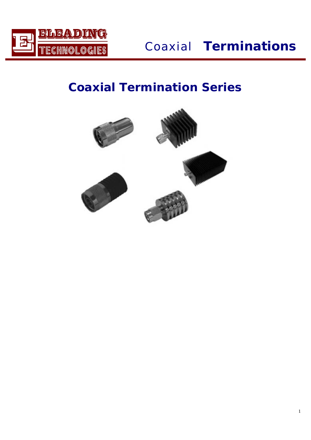

*Coaxial* **Terminations**

# **Coaxial Termination Series**

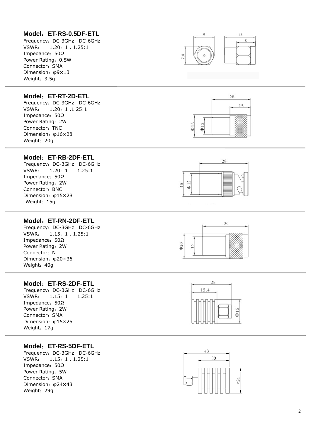# **Model** :**ET-RS-0.5DF-ETL**

Frequency :DC-3GHz DC-6GHz VSWR : 1.20 :1 , 1.25:1 Impedance: 50Ω Power Rating: 0.5W Connector :SMA Dimension : φ9×13 Weight: 3.5g



#### **Model** :**ET-RT-2D-ETL**

Frequency :DC-3GHz DC-6GHz VSWR : 1.20 :1 ,1.25:1 Impedance: 50Ω Power Rating :2W Connector: TNC Dimension : φ16×28 Weight :20g

# **Model** :**ET-RB-2DF-ETL**

Frequency :DC-3GHz DC-6GHz VSWR  $1.20: 1$ :1 1.25:1 Impedance: 50Ω Power Rating :2W Connector :BNC Dimension : φ15×28 Weight :15g





36

#### **Model** :**ET-RN-2DF-ETL**

Frequency :DC-3GHz DC-6GHz VSWR : 1.15 :1 , 1.25:1 Impedance: 50Ω Power Rating :2W Connector: N Dimension : φ20×36 Weight :40g

# **Model** :**ET-RS-2DF-ETL**

Frequency :DC-3GHz DC-6GHz VSWR  $1.15: 1$ :1 1.25:1 Impedance: 50Ω Power Rating :2W Connector :SMA Dimension : φ15×25 Weight :17g

# **Model** :**ET-RS-5DF-ETL**

Frequency :DC-3GHz DC-6GHz VSWR  $: 1.15: 1, 1.25:1$ Impedance: 50Ω Power Rating :5W Connector :SMA Dimension : φ24×43 Weight :29g





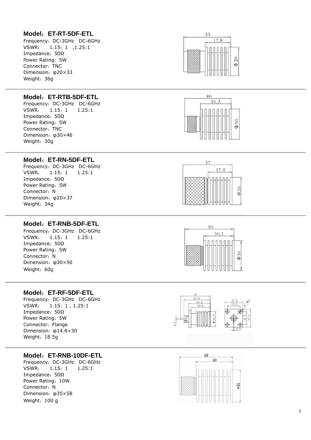# **Model** :**ET-RT-5DF-ETL**

Frequency :DC-3GHz DC-6GHz VSWR : 1.15 :1 ,1.25:1 Impedance: 50Ω Power Rating :5W Connector: TNC Dimension : φ20×33 Weight :36g



Frequency :DC-3GHz DC-6GHz VSWR 1.15: 1 :1 1.25:1 Impedance: 50Ω Power Rating :5W Connector: TNC Dimension : φ30×46 Weight :30g

#### **Model** :**ET-RN-5DF-ETL**

Frequency :DC-3GHz DC-6GHz VSWR 1.15: 1 :1 1.25:1 Impedance: 50Ω Power Rating :5W Connector: N Dimension : φ20×37 Weight :34g

#### **Model** :**ET-RNB-5DF-ETL**

Frequency :DC-3GHz DC-6GHz VSWR  $1.15: 1$ :1 1.25:1 Impedance: 50Ω Power Rating :5W Connector: N Dimension : φ30×50 Weight :60g

## **Model** :**ET-RF-5DF-ETL**

Frequency :DC-3GHz DC-6GHz VSWR : 1.15 :1 , 1.25:1 Impedance: 50Ω Power Rating :5W Connector: Flange Dimension : φ14.8×30 Weight: 18.5g

## **Model** :**ET-RNB-10DF-ETL**

Frequency :DC-3GHz DC-6GHz VSWR 1.15: 1 :1 1.25:1 Impedance: 50Ω Power Rating :10W Connector: N Dimension : φ35×58 Weight: 100 g











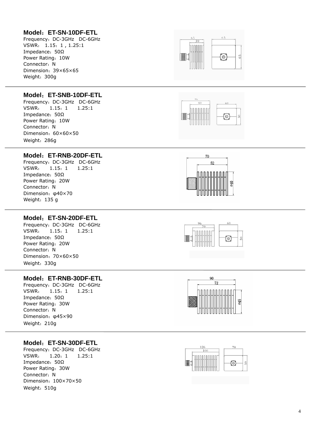# **Model** :**ET-SN-10DF-ETL**

Frequency :DC-3GHz DC-6GHz VSWR: 1.15: 1, 1.25:1 Impedance: 50Ω Power Rating :10W Connector: N Dimension :39×65×65 Weight :300g



60

 $\odot$ 



Frequency :DC-3GHz DC-6GHz VSWR  $1.15: 1$ :1 1.25:1 Impedance: 50Ω Power Rating :10W Connector: N Dimension :60×60×50 Weight :286g

#### **Model** :**ET-RNB-20DF-ETL**

Frequency :DC-3GHz DC-6GHz VSWR 1.15: 1 :1 1.25:1 Impedance: 50Ω Power Rating :20W Connector: N Dimension : φ40×70 Weight: 135 g

## **Model** :**ET-SN-20DF-ETL**

Frequency :DC-3GHz DC-6GHz VSWR 1.15: 1 :1 1.25:1 Impedance: 50Ω Power Rating :20W Connector: N Dimension: 70×60×50 Weight :330g

## **Model** :**ET-RNB-30DF-ETL**

Frequency :DC-3GHz DC-6GHz VSWR  $1.15: 1$ :1 1.25:1 Impedance: 50Ω Power Rating :30W Connector: N Dimension : φ45×90 Weight :210g

## **Model** :**ET-SN-30DF-ETL**

Frequency :DC-3GHz DC-6GHz VSWR  $1.20:1$ :1 1.25:1 Impedance: 50Ω Power Rating :30W Connector: N Dimension :100×70×50 Weight :510g







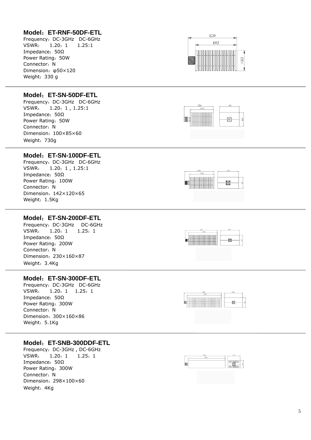## **Model** :**ET-RNF-50DF-ETL**

Frequency :DC-3GHz DC-6GHz VSWR  $1.20: 1$ :1 1.25:1 Impedance: 50Ω Power Rating :50W Connector: N Dimension : φ50×120 Weight :330 g

# **Model** :**ET-SN-50DF-ETL**

Frequency :DC-3GHz DC-6GHz VSWR : 1.20 :1 , 1.25:1 Impedance: 50Ω Power Rating :50W Connector: N Dimension :100×85×60 Weight: 730g

#### **Model** :**ET-SN-100DF-ETL**

Frequency :DC-3GHz DC-6GHz VSWR : 1.20 :1 , 1.25:1 Impedance: 50Ω Power Rating :100W Connector: N Dimension :142×120×65 Weight: 1.5Kg

#### **Model** :**ET-SN-200DF-ETL**

Frequency :DC-3GHz DC-6GHz VSWR 1.20: 1 :1 1.25 :1 Impedance: 50Ω Power Rating :200W Connector: N Dimension :230×160×87 Weight: 3.4Kg

#### **Model** :**ET-SN-300DF-ETL**

Frequency :DC-3GHz DC-6GHz VSWR  $: 1.20: 1 1.25: 1$ Impedance: 50Ω Power Rating :300W Connector: N Dimension :300×160×86 Weight: 5.1Kg

#### **Model** :**ET-SNB-300DDF-ETL**

Frequency :DC-3GHz , DC-6GHz VSWR  $1.20:1$ :1 1.25 :1 Impedance: 50Ω Power Rating :300W Connector: N Dimension :298×100×60 Weight :4Kg